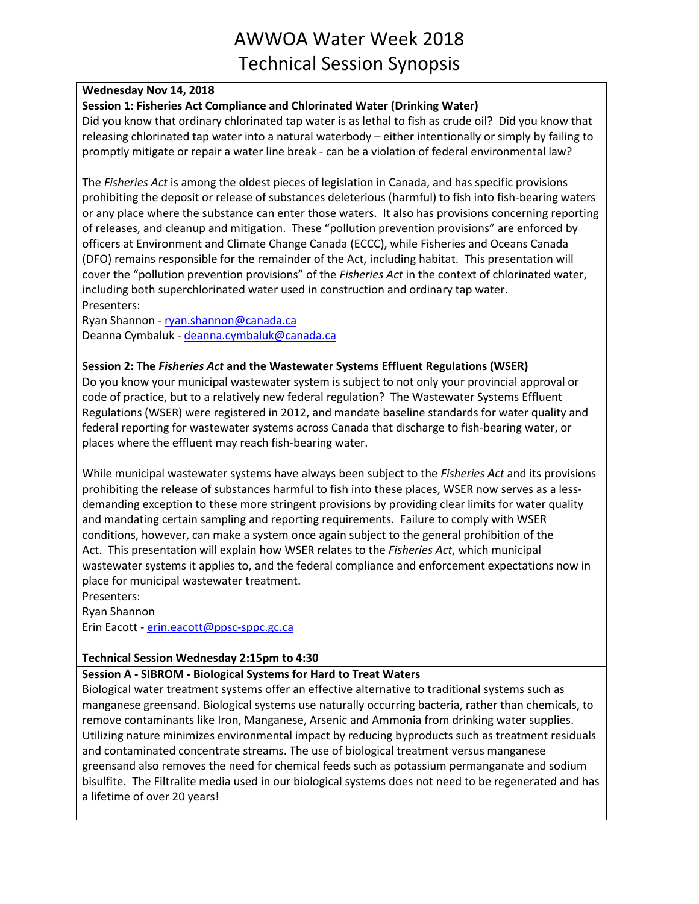### **Wednesday Nov 14, 2018**

## **Session 1: Fisheries Act Compliance and Chlorinated Water (Drinking Water)**

Did you know that ordinary chlorinated tap water is as lethal to fish as crude oil? Did you know that releasing chlorinated tap water into a natural waterbody – either intentionally or simply by failing to promptly mitigate or repair a water line break - can be a violation of federal environmental law?

The *Fisheries Act* is among the oldest pieces of legislation in Canada, and has specific provisions prohibiting the deposit or release of substances deleterious (harmful) to fish into fish-bearing waters or any place where the substance can enter those waters. It also has provisions concerning reporting of releases, and cleanup and mitigation. These "pollution prevention provisions" are enforced by officers at Environment and Climate Change Canada (ECCC), while Fisheries and Oceans Canada (DFO) remains responsible for the remainder of the Act, including habitat. This presentation will cover the "pollution prevention provisions" of the *Fisheries Act* in the context of chlorinated water, including both superchlorinated water used in construction and ordinary tap water. Presenters:

Ryan Shannon - [ryan.shannon@canada.ca](mailto:ryan.shannon@canada.ca) Deanna Cymbaluk - [deanna.cymbaluk@canada.ca](mailto:deanna.cymbaluk@canada.ca)

### **Session 2: The** *Fisheries Act* **and the Wastewater Systems Effluent Regulations (WSER)**

Do you know your municipal wastewater system is subject to not only your provincial approval or code of practice, but to a relatively new federal regulation? The Wastewater Systems Effluent Regulations (WSER) were registered in 2012, and mandate baseline standards for water quality and federal reporting for wastewater systems across Canada that discharge to fish-bearing water, or places where the effluent may reach fish-bearing water.

While municipal wastewater systems have always been subject to the *Fisheries Act* and its provisions prohibiting the release of substances harmful to fish into these places, WSER now serves as a lessdemanding exception to these more stringent provisions by providing clear limits for water quality and mandating certain sampling and reporting requirements. Failure to comply with WSER conditions, however, can make a system once again subject to the general prohibition of the Act. This presentation will explain how WSER relates to the *Fisheries Act*, which municipal wastewater systems it applies to, and the federal compliance and enforcement expectations now in place for municipal wastewater treatment.

Presenters:

Ryan Shannon Erin Eacott - [erin.eacott@ppsc-sppc.gc.ca](mailto:erin.eacott@ppsc-sppc.gc.ca)

## **Technical Session Wednesday 2:15pm to 4:30**

## **Session A - SIBROM - Biological Systems for Hard to Treat Waters**

Biological water treatment systems offer an effective alternative to traditional systems such as manganese greensand. Biological systems use naturally occurring bacteria, rather than chemicals, to remove contaminants like Iron, Manganese, Arsenic and Ammonia from drinking water supplies. Utilizing nature minimizes environmental impact by reducing byproducts such as treatment residuals and contaminated concentrate streams. The use of biological treatment versus manganese greensand also removes the need for chemical feeds such as potassium permanganate and sodium bisulfite. The Filtralite media used in our biological systems does not need to be regenerated and has a lifetime of over 20 years!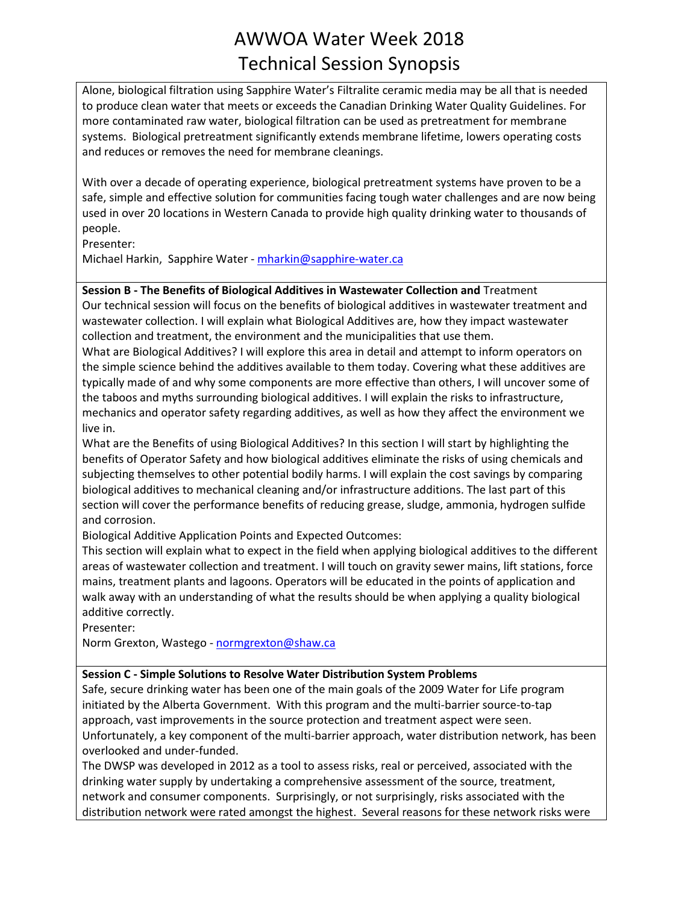Alone, biological filtration using Sapphire Water's Filtralite ceramic media may be all that is needed to produce clean water that meets or exceeds the Canadian Drinking Water Quality Guidelines. For more contaminated raw water, biological filtration can be used as pretreatment for membrane systems. Biological pretreatment significantly extends membrane lifetime, lowers operating costs and reduces or removes the need for membrane cleanings.

With over a decade of operating experience, biological pretreatment systems have proven to be a safe, simple and effective solution for communities facing tough water challenges and are now being used in over 20 locations in Western Canada to provide high quality drinking water to thousands of people.

Presenter:

Michael Harkin, Sapphire Water - [mharkin@sapphire-water.ca](mailto:mharkin@sapphire-water.ca)

## **Session B - The Benefits of Biological Additives in Wastewater Collection and** Treatment

Our technical session will focus on the benefits of biological additives in wastewater treatment and wastewater collection. I will explain what Biological Additives are, how they impact wastewater collection and treatment, the environment and the municipalities that use them. What are Biological Additives? I will explore this area in detail and attempt to inform operators on the simple science behind the additives available to them today. Covering what these additives are

typically made of and why some components are more effective than others, I will uncover some of the taboos and myths surrounding biological additives. I will explain the risks to infrastructure, mechanics and operator safety regarding additives, as well as how they affect the environment we live in.

What are the Benefits of using Biological Additives? In this section I will start by highlighting the benefits of Operator Safety and how biological additives eliminate the risks of using chemicals and subjecting themselves to other potential bodily harms. I will explain the cost savings by comparing biological additives to mechanical cleaning and/or infrastructure additions. The last part of this section will cover the performance benefits of reducing grease, sludge, ammonia, hydrogen sulfide and corrosion.

Biological Additive Application Points and Expected Outcomes:

This section will explain what to expect in the field when applying biological additives to the different areas of wastewater collection and treatment. I will touch on gravity sewer mains, lift stations, force mains, treatment plants and lagoons. Operators will be educated in the points of application and walk away with an understanding of what the results should be when applying a quality biological additive correctly.

Presenter:

Norm Grexton, Wastego - [normgrexton@shaw.ca](mailto:normgrexton@shaw.ca)

## **Session C - Simple Solutions to Resolve Water Distribution System Problems**

Safe, secure drinking water has been one of the main goals of the 2009 Water for Life program initiated by the Alberta Government. With this program and the multi-barrier source-to-tap approach, vast improvements in the source protection and treatment aspect were seen. Unfortunately, a key component of the multi-barrier approach, water distribution network, has been overlooked and under-funded.

The DWSP was developed in 2012 as a tool to assess risks, real or perceived, associated with the drinking water supply by undertaking a comprehensive assessment of the source, treatment, network and consumer components. Surprisingly, or not surprisingly, risks associated with the distribution network were rated amongst the highest. Several reasons for these network risks were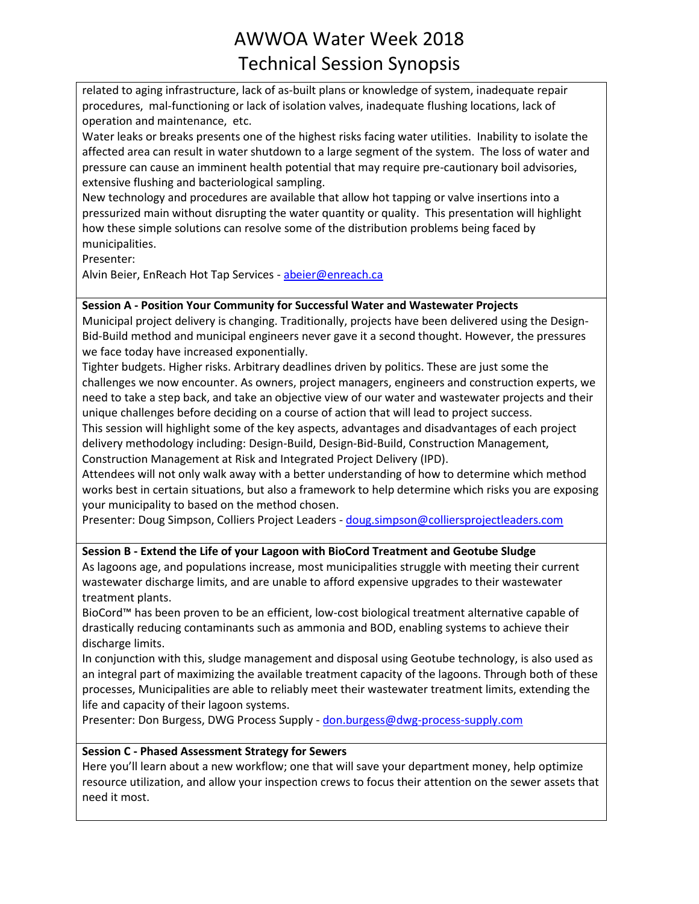related to aging infrastructure, lack of as-built plans or knowledge of system, inadequate repair procedures, mal-functioning or lack of isolation valves, inadequate flushing locations, lack of operation and maintenance, etc.

Water leaks or breaks presents one of the highest risks facing water utilities. Inability to isolate the affected area can result in water shutdown to a large segment of the system. The loss of water and pressure can cause an imminent health potential that may require pre-cautionary boil advisories, extensive flushing and bacteriological sampling.

New technology and procedures are available that allow hot tapping or valve insertions into a pressurized main without disrupting the water quantity or quality. This presentation will highlight how these simple solutions can resolve some of the distribution problems being faced by municipalities.

Presenter:

Alvin Beier, EnReach Hot Tap Services - [abeier@enreach.ca](mailto:abeier@enreach.ca)

## **Session A - Position Your Community for Successful Water and Wastewater Projects**

Municipal project delivery is changing. Traditionally, projects have been delivered using the Design-Bid-Build method and municipal engineers never gave it a second thought. However, the pressures we face today have increased exponentially.

Tighter budgets. Higher risks. Arbitrary deadlines driven by politics. These are just some the challenges we now encounter. As owners, project managers, engineers and construction experts, we need to take a step back, and take an objective view of our water and wastewater projects and their unique challenges before deciding on a course of action that will lead to project success.

This session will highlight some of the key aspects, advantages and disadvantages of each project delivery methodology including: Design-Build, Design-Bid-Build, Construction Management, Construction Management at Risk and Integrated Project Delivery (IPD).

Attendees will not only walk away with a better understanding of how to determine which method works best in certain situations, but also a framework to help determine which risks you are exposing your municipality to based on the method chosen.

Presenter: Doug Simpson, Colliers Project Leaders - [doug.simpson@colliersprojectleaders.com](mailto:doug.simpson@colliersprojectleaders.com)

## **Session B - Extend the Life of your Lagoon with BioCord Treatment and Geotube Sludge**

As lagoons age, and populations increase, most municipalities struggle with meeting their current wastewater discharge limits, and are unable to afford expensive upgrades to their wastewater treatment plants.

BioCord™ has been proven to be an efficient, low-cost biological treatment alternative capable of drastically reducing contaminants such as ammonia and BOD, enabling systems to achieve their discharge limits.

In conjunction with this, sludge management and disposal using Geotube technology, is also used as an integral part of maximizing the available treatment capacity of the lagoons. Through both of these processes, Municipalities are able to reliably meet their wastewater treatment limits, extending the life and capacity of their lagoon systems.

Presenter: Don Burgess, DWG Process Supply - [don.burgess@dwg-process-supply.com](mailto:don.burgess@dwg-process-supply.com)

## **Session C - Phased Assessment Strategy for Sewers**

Here you'll learn about a new workflow; one that will save your department money, help optimize resource utilization, and allow your inspection crews to focus their attention on the sewer assets that need it most.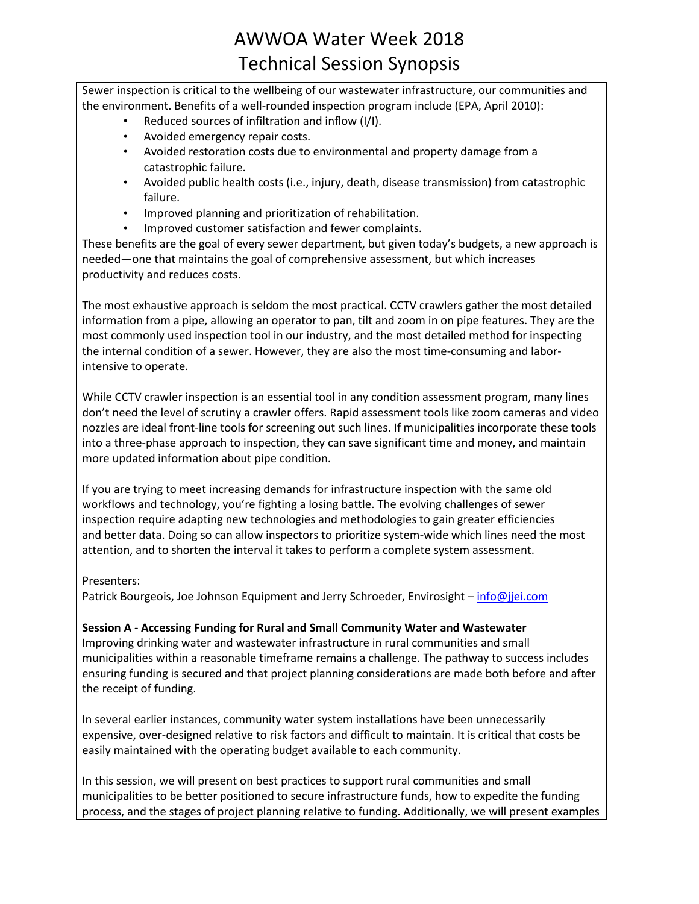Sewer inspection is critical to the wellbeing of our wastewater infrastructure, our communities and the environment. Benefits of a well-rounded inspection program include (EPA, April 2010):

- Reduced sources of infiltration and inflow (I/I).
- Avoided emergency repair costs.
- Avoided restoration costs due to environmental and property damage from a catastrophic failure.
- Avoided public health costs (i.e., injury, death, disease transmission) from catastrophic failure.
- Improved planning and prioritization of rehabilitation.
- Improved customer satisfaction and fewer complaints.

These benefits are the goal of every sewer department, but given today's budgets, a new approach is needed—one that maintains the goal of comprehensive assessment, but which increases productivity and reduces costs.

The most exhaustive approach is seldom the most practical. CCTV crawlers gather the most detailed information from a pipe, allowing an operator to pan, tilt and zoom in on pipe features. They are the most commonly used inspection tool in our industry, and the most detailed method for inspecting the internal condition of a sewer. However, they are also the most time-consuming and laborintensive to operate.

While CCTV crawler inspection is an essential tool in any condition assessment program, many lines don't need the level of scrutiny a crawler offers. Rapid assessment tools like zoom cameras and video nozzles are ideal front-line tools for screening out such lines. If municipalities incorporate these tools into a three-phase approach to inspection, they can save significant time and money, and maintain more updated information about pipe condition.

If you are trying to meet increasing demands for infrastructure inspection with the same old workflows and technology, you're fighting a losing battle. The evolving challenges of sewer inspection require adapting new technologies and methodologies to gain greater efficiencies and better data. Doing so can allow inspectors to prioritize system-wide which lines need the most attention, and to shorten the interval it takes to perform a complete system assessment.

#### Presenters:

Patrick Bourgeois, Joe Johnson Equipment and Jerry Schroeder, Envirosight – [info@jjei.com](mailto:info@jjei.com)

**Session A - Accessing Funding for Rural and Small Community Water and Wastewater** Improving drinking water and wastewater infrastructure in rural communities and small municipalities within a reasonable timeframe remains a challenge. The pathway to success includes ensuring funding is secured and that project planning considerations are made both before and after the receipt of funding.

In several earlier instances, community water system installations have been unnecessarily expensive, over-designed relative to risk factors and difficult to maintain. It is critical that costs be easily maintained with the operating budget available to each community.

In this session, we will present on best practices to support rural communities and small municipalities to be better positioned to secure infrastructure funds, how to expedite the funding process, and the stages of project planning relative to funding. Additionally, we will present examples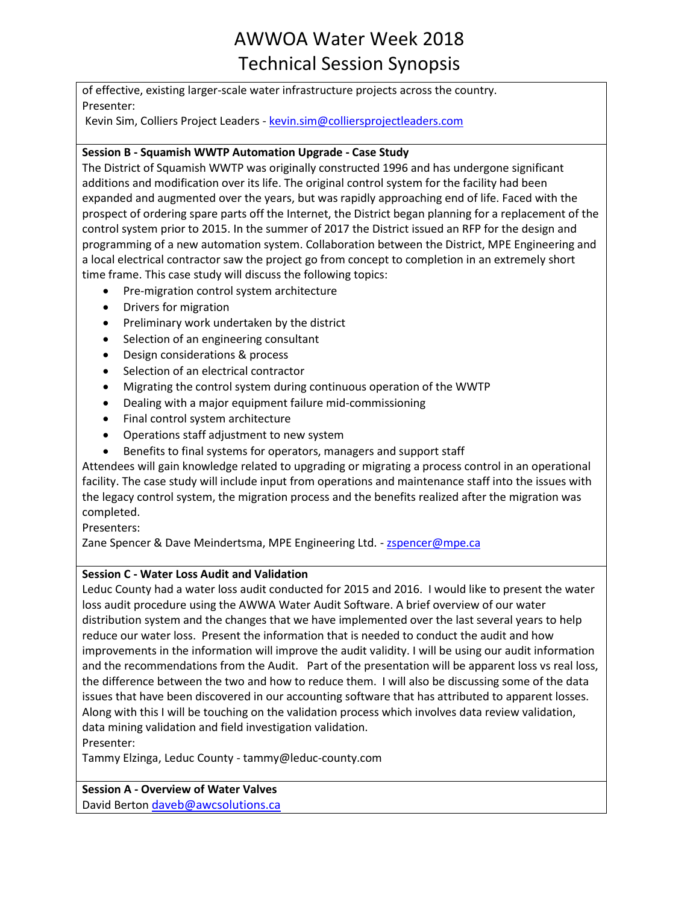of effective, existing larger-scale water infrastructure projects across the country. Presenter:

Kevin Sim, Colliers Project Leaders - [kevin.sim@colliersprojectleaders.com](mailto:kevin.sim@colliersprojectleaders.com)

## **Session B - Squamish WWTP Automation Upgrade - Case Study**

The District of Squamish WWTP was originally constructed 1996 and has undergone significant additions and modification over its life. The original control system for the facility had been expanded and augmented over the years, but was rapidly approaching end of life. Faced with the prospect of ordering spare parts off the Internet, the District began planning for a replacement of the control system prior to 2015. In the summer of 2017 the District issued an RFP for the design and programming of a new automation system. Collaboration between the District, MPE Engineering and a local electrical contractor saw the project go from concept to completion in an extremely short time frame. This case study will discuss the following topics:

- Pre-migration control system architecture
- Drivers for migration
- Preliminary work undertaken by the district
- Selection of an engineering consultant
- Design considerations & process
- Selection of an electrical contractor
- Migrating the control system during continuous operation of the WWTP
- Dealing with a major equipment failure mid-commissioning
- Final control system architecture
- Operations staff adjustment to new system
- Benefits to final systems for operators, managers and support staff

Attendees will gain knowledge related to upgrading or migrating a process control in an operational facility. The case study will include input from operations and maintenance staff into the issues with the legacy control system, the migration process and the benefits realized after the migration was completed.

Presenters:

Zane Spencer & Dave Meindertsma, MPE Engineering Ltd. - [zspencer@mpe.ca](mailto:zspencer@mpe.ca)

#### **Session C - Water Loss Audit and Validation**

Leduc County had a water loss audit conducted for 2015 and 2016. I would like to present the water loss audit procedure using the AWWA Water Audit Software. A brief overview of our water distribution system and the changes that we have implemented over the last several years to help reduce our water loss. Present the information that is needed to conduct the audit and how improvements in the information will improve the audit validity. I will be using our audit information and the recommendations from the Audit. Part of the presentation will be apparent loss vs real loss, the difference between the two and how to reduce them. I will also be discussing some of the data issues that have been discovered in our accounting software that has attributed to apparent losses. Along with this I will be touching on the validation process which involves data review validation, data mining validation and field investigation validation.

Presenter:

Tammy Elzinga, Leduc County - tammy@leduc-county.com

## **Session A - Overview of Water Valves**

David Berton [daveb@awcsolutions.ca](mailto:daveb@awcsolutions.ca)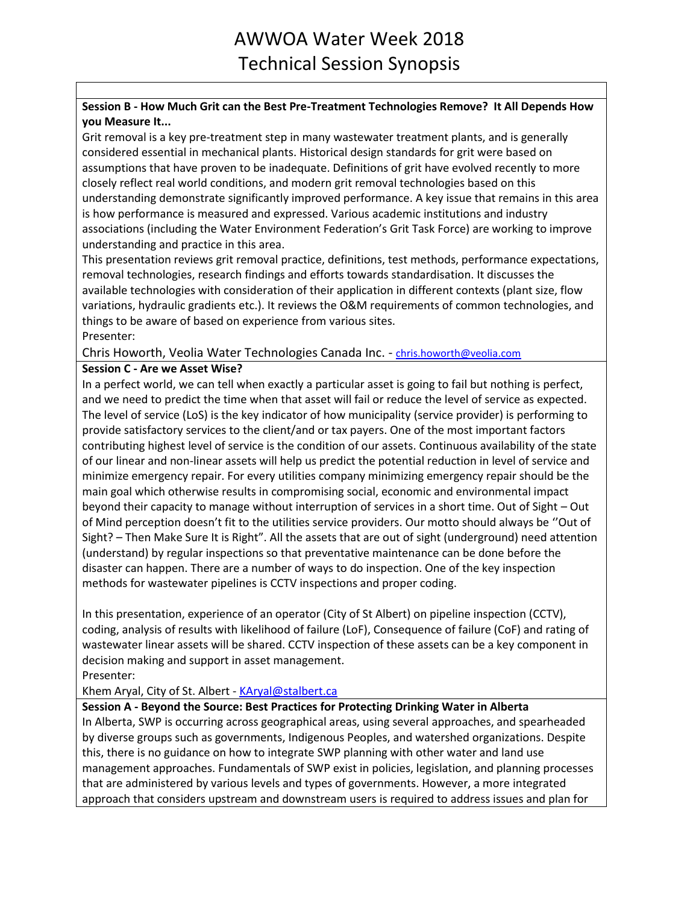## **Session B - How Much Grit can the Best Pre-Treatment Technologies Remove? It All Depends How you Measure It...**

Grit removal is a key pre-treatment step in many wastewater treatment plants, and is generally considered essential in mechanical plants. Historical design standards for grit were based on assumptions that have proven to be inadequate. Definitions of grit have evolved recently to more closely reflect real world conditions, and modern grit removal technologies based on this understanding demonstrate significantly improved performance. A key issue that remains in this area is how performance is measured and expressed. Various academic institutions and industry associations (including the Water Environment Federation's Grit Task Force) are working to improve understanding and practice in this area.

This presentation reviews grit removal practice, definitions, test methods, performance expectations, removal technologies, research findings and efforts towards standardisation. It discusses the available technologies with consideration of their application in different contexts (plant size, flow variations, hydraulic gradients etc.). It reviews the O&M requirements of common technologies, and things to be aware of based on experience from various sites. Presenter:

Chris Howorth, Veolia Water Technologies Canada Inc. - [chris.howorth@veolia.com](mailto:chris.howorth@veolia.com)

### **Session C - Are we Asset Wise?**

In a perfect world, we can tell when exactly a particular asset is going to fail but nothing is perfect, and we need to predict the time when that asset will fail or reduce the level of service as expected. The level of service (LoS) is the key indicator of how municipality (service provider) is performing to provide satisfactory services to the client/and or tax payers. One of the most important factors contributing highest level of service is the condition of our assets. Continuous availability of the state of our linear and non-linear assets will help us predict the potential reduction in level of service and minimize emergency repair. For every utilities company minimizing emergency repair should be the main goal which otherwise results in compromising social, economic and environmental impact beyond their capacity to manage without interruption of services in a short time. Out of Sight – Out of Mind perception doesn't fit to the utilities service providers. Our motto should always be ''Out of Sight? – Then Make Sure It is Right". All the assets that are out of sight (underground) need attention (understand) by regular inspections so that preventative maintenance can be done before the disaster can happen. There are a number of ways to do inspection. One of the key inspection methods for wastewater pipelines is CCTV inspections and proper coding.

In this presentation, experience of an operator (City of St Albert) on pipeline inspection (CCTV), coding, analysis of results with likelihood of failure (LoF), Consequence of failure (CoF) and rating of wastewater linear assets will be shared. CCTV inspection of these assets can be a key component in decision making and support in asset management.

Presenter:

Khem Aryal, City of St. Albert - [KAryal@stalbert.ca](mailto:KAryal@stalbert.ca)

## **Session A - Beyond the Source: Best Practices for Protecting Drinking Water in Alberta**

In Alberta, SWP is occurring across geographical areas, using several approaches, and spearheaded by diverse groups such as governments, Indigenous Peoples, and watershed organizations. Despite this, there is no guidance on how to integrate SWP planning with other water and land use management approaches. Fundamentals of SWP exist in policies, legislation, and planning processes that are administered by various levels and types of governments. However, a more integrated approach that considers upstream and downstream users is required to address issues and plan for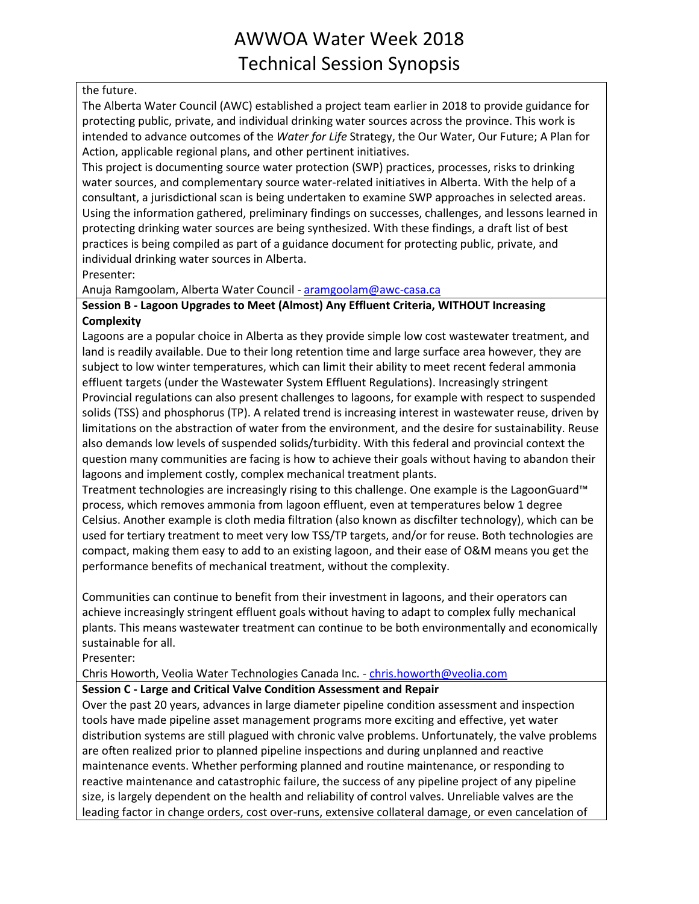### the future.

The Alberta Water Council (AWC) established a project team earlier in 2018 to provide guidance for protecting public, private, and individual drinking water sources across the province. This work is intended to advance outcomes of the *Water for Life* Strategy, the Our Water, Our Future; A Plan for Action, applicable regional plans, and other pertinent initiatives.

This project is documenting source water protection (SWP) practices, processes, risks to drinking water sources, and complementary source water-related initiatives in Alberta. With the help of a consultant, a jurisdictional scan is being undertaken to examine SWP approaches in selected areas. Using the information gathered, preliminary findings on successes, challenges, and lessons learned in protecting drinking water sources are being synthesized. With these findings, a draft list of best practices is being compiled as part of a guidance document for protecting public, private, and individual drinking water sources in Alberta.

Presenter:

Anuja Ramgoolam, Alberta Water Council - [aramgoolam@awc-casa.ca](mailto:aramgoolam@awc-casa.ca)

## **Session B - Lagoon Upgrades to Meet (Almost) Any Effluent Criteria, WITHOUT Increasing Complexity**

Lagoons are a popular choice in Alberta as they provide simple low cost wastewater treatment, and land is readily available. Due to their long retention time and large surface area however, they are subject to low winter temperatures, which can limit their ability to meet recent federal ammonia effluent targets (under the Wastewater System Effluent Regulations). Increasingly stringent Provincial regulations can also present challenges to lagoons, for example with respect to suspended solids (TSS) and phosphorus (TP). A related trend is increasing interest in wastewater reuse, driven by limitations on the abstraction of water from the environment, and the desire for sustainability. Reuse also demands low levels of suspended solids/turbidity. With this federal and provincial context the question many communities are facing is how to achieve their goals without having to abandon their lagoons and implement costly, complex mechanical treatment plants.

Treatment technologies are increasingly rising to this challenge. One example is the LagoonGuard™ process, which removes ammonia from lagoon effluent, even at temperatures below 1 degree Celsius. Another example is cloth media filtration (also known as discfilter technology), which can be used for tertiary treatment to meet very low TSS/TP targets, and/or for reuse. Both technologies are compact, making them easy to add to an existing lagoon, and their ease of O&M means you get the performance benefits of mechanical treatment, without the complexity.

Communities can continue to benefit from their investment in lagoons, and their operators can achieve increasingly stringent effluent goals without having to adapt to complex fully mechanical plants. This means wastewater treatment can continue to be both environmentally and economically sustainable for all.

Presenter:

Chris Howorth, Veolia Water Technologies Canada Inc. - [chris.howorth@veolia.com](mailto:chris.howorth@veolia.com)

## **Session C - Large and Critical Valve Condition Assessment and Repair**

Over the past 20 years, advances in large diameter pipeline condition assessment and inspection tools have made pipeline asset management programs more exciting and effective, yet water distribution systems are still plagued with chronic valve problems. Unfortunately, the valve problems are often realized prior to planned pipeline inspections and during unplanned and reactive maintenance events. Whether performing planned and routine maintenance, or responding to reactive maintenance and catastrophic failure, the success of any pipeline project of any pipeline size, is largely dependent on the health and reliability of control valves. Unreliable valves are the leading factor in change orders, cost over-runs, extensive collateral damage, or even cancelation of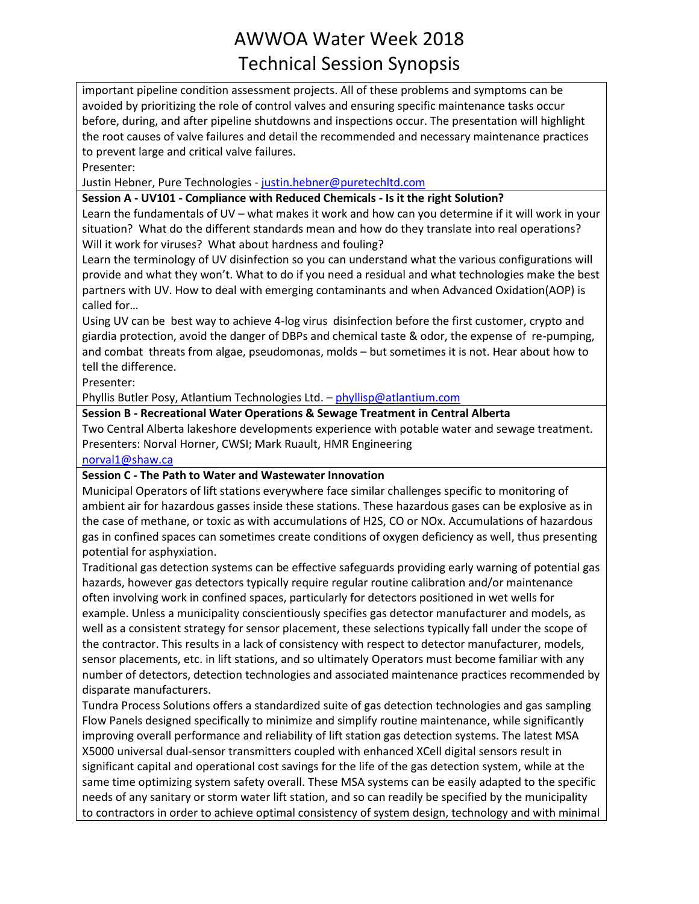important pipeline condition assessment projects. All of these problems and symptoms can be avoided by prioritizing the role of control valves and ensuring specific maintenance tasks occur before, during, and after pipeline shutdowns and inspections occur. The presentation will highlight the root causes of valve failures and detail the recommended and necessary maintenance practices to prevent large and critical valve failures.

Presenter:

Justin Hebner, Pure Technologies - [justin.hebner@puretechltd.com](mailto:justin.hebner@puretechltd.com)

### **Session A - UV101 - Compliance with Reduced Chemicals - Is it the right Solution?**

Learn the fundamentals of UV – what makes it work and how can you determine if it will work in your situation? What do the different standards mean and how do they translate into real operations? Will it work for viruses? What about hardness and fouling?

Learn the terminology of UV disinfection so you can understand what the various configurations will provide and what they won't. What to do if you need a residual and what technologies make the best partners with UV. How to deal with emerging contaminants and when Advanced Oxidation(AOP) is called for…

Using UV can be best way to achieve 4-log virus disinfection before the first customer, crypto and giardia protection, avoid the danger of DBPs and chemical taste & odor, the expense of re-pumping, and combat threats from algae, pseudomonas, molds – but sometimes it is not. Hear about how to tell the difference.

Presenter:

Phyllis Butler Posy, Atlantium Technologies Ltd. – [phyllisp@atlantium.com](mailto:phyllisp@atlantium.com)

### **Session B - Recreational Water Operations & Sewage Treatment in Central Alberta**

Two Central Alberta lakeshore developments experience with potable water and sewage treatment. Presenters: Norval Horner, CWSI; Mark Ruault, HMR Engineering

[norval1@shaw.ca](mailto:norval1@shaw.ca)

#### **Session C - The Path to Water and Wastewater Innovation**

Municipal Operators of lift stations everywhere face similar challenges specific to monitoring of ambient air for hazardous gasses inside these stations. These hazardous gases can be explosive as in the case of methane, or toxic as with accumulations of H2S, CO or NOx. Accumulations of hazardous gas in confined spaces can sometimes create conditions of oxygen deficiency as well, thus presenting potential for asphyxiation.

Traditional gas detection systems can be effective safeguards providing early warning of potential gas hazards, however gas detectors typically require regular routine calibration and/or maintenance often involving work in confined spaces, particularly for detectors positioned in wet wells for example. Unless a municipality conscientiously specifies gas detector manufacturer and models, as well as a consistent strategy for sensor placement, these selections typically fall under the scope of the contractor. This results in a lack of consistency with respect to detector manufacturer, models, sensor placements, etc. in lift stations, and so ultimately Operators must become familiar with any number of detectors, detection technologies and associated maintenance practices recommended by disparate manufacturers.

Tundra Process Solutions offers a standardized suite of gas detection technologies and gas sampling Flow Panels designed specifically to minimize and simplify routine maintenance, while significantly improving overall performance and reliability of lift station gas detection systems. The latest MSA X5000 universal dual-sensor transmitters coupled with enhanced XCell digital sensors result in significant capital and operational cost savings for the life of the gas detection system, while at the same time optimizing system safety overall. These MSA systems can be easily adapted to the specific needs of any sanitary or storm water lift station, and so can readily be specified by the municipality to contractors in order to achieve optimal consistency of system design, technology and with minimal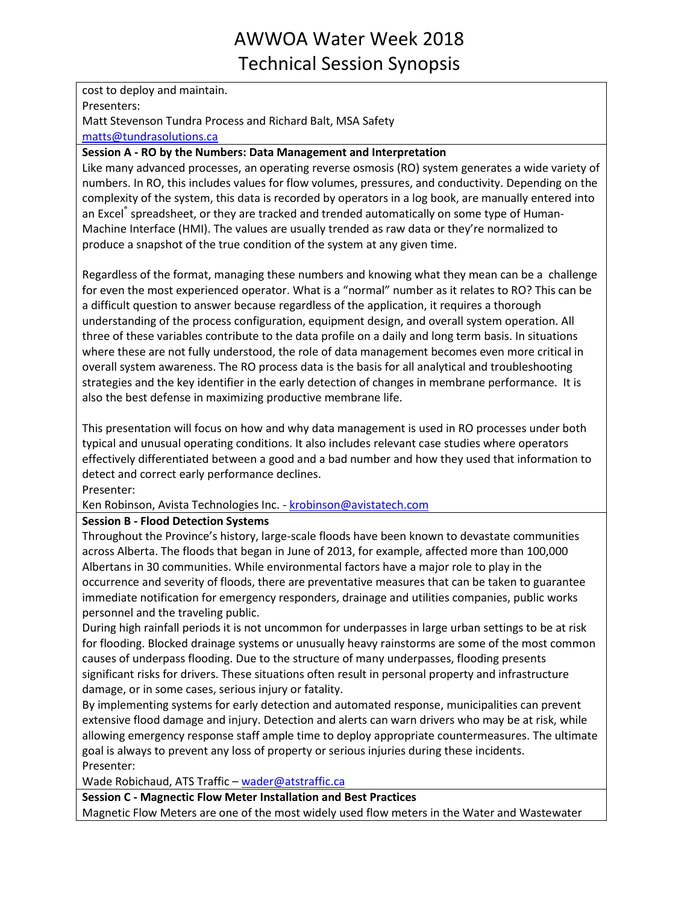cost to deploy and maintain. Presenters: Matt Stevenson Tundra Process and Richard Balt, MSA Safety [matts@tundrasolutions.ca](mailto:matts@tundrasolutions.ca)

### **Session A - RO by the Numbers: Data Management and Interpretation**

Like many advanced processes, an operating reverse osmosis (RO) system generates a wide variety of numbers. In RO, this includes values for flow volumes, pressures, and conductivity. Depending on the complexity of the system, this data is recorded by operators in a log book, are manually entered into an Excel<sup>®</sup> spreadsheet, or they are tracked and trended automatically on some type of Human-Machine Interface (HMI). The values are usually trended as raw data or they're normalized to produce a snapshot of the true condition of the system at any given time.

Regardless of the format, managing these numbers and knowing what they mean can be a challenge for even the most experienced operator. What is a "normal" number as it relates to RO? This can be a difficult question to answer because regardless of the application, it requires a thorough understanding of the process configuration, equipment design, and overall system operation. All three of these variables contribute to the data profile on a daily and long term basis. In situations where these are not fully understood, the role of data management becomes even more critical in overall system awareness. The RO process data is the basis for all analytical and troubleshooting strategies and the key identifier in the early detection of changes in membrane performance. It is also the best defense in maximizing productive membrane life.

This presentation will focus on how and why data management is used in RO processes under both typical and unusual operating conditions. It also includes relevant case studies where operators effectively differentiated between a good and a bad number and how they used that information to detect and correct early performance declines.

Presenter:

Ken Robinson, Avista Technologies Inc. - [krobinson@avistatech.com](mailto:krobinson@avistatech.com)

## **Session B - Flood Detection Systems**

Throughout the Province's history, large-scale floods have been known to devastate communities across Alberta. The floods that began in June of 2013, for example, affected more than 100,000 Albertans in 30 communities. While environmental factors have a major role to play in the occurrence and severity of floods, there are preventative measures that can be taken to guarantee immediate notification for emergency responders, drainage and utilities companies, public works personnel and the traveling public.

During high rainfall periods it is not uncommon for underpasses in large urban settings to be at risk for flooding. Blocked drainage systems or unusually heavy rainstorms are some of the most common causes of underpass flooding. Due to the structure of many underpasses, flooding presents significant risks for drivers. These situations often result in personal property and infrastructure damage, or in some cases, serious injury or fatality.

By implementing systems for early detection and automated response, municipalities can prevent extensive flood damage and injury. Detection and alerts can warn drivers who may be at risk, while allowing emergency response staff ample time to deploy appropriate countermeasures. The ultimate goal is always to prevent any loss of property or serious injuries during these incidents. Presenter:

Wade Robichaud, ATS Traffic – [wader@atstraffic.ca](mailto:wader@atstraffic.ca)

**Session C - Magnectic Flow Meter Installation and Best Practices**

Magnetic Flow Meters are one of the most widely used flow meters in the Water and Wastewater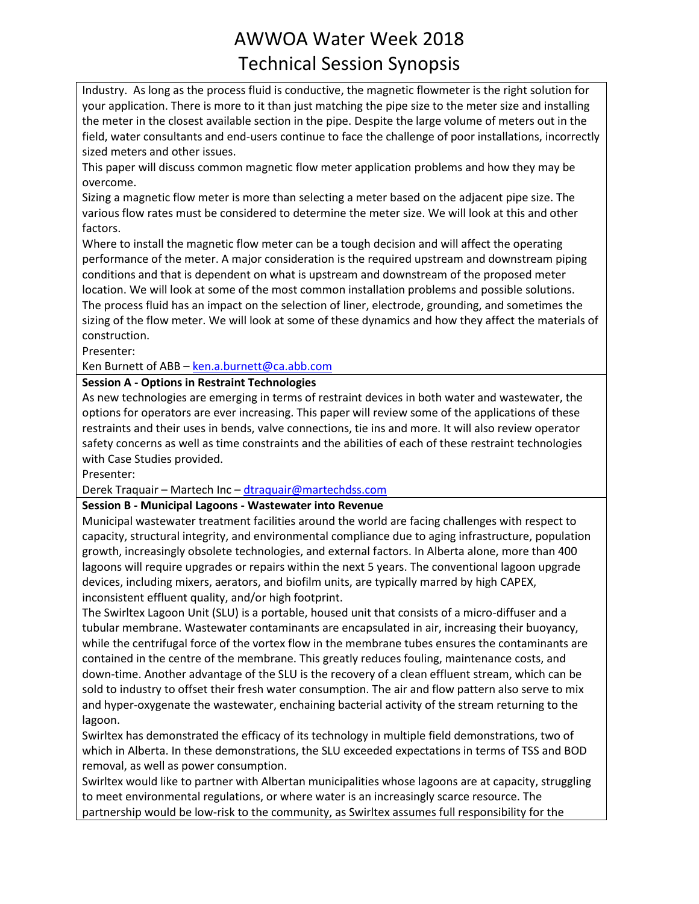Industry. As long as the process fluid is conductive, the magnetic flowmeter is the right solution for your application. There is more to it than just matching the pipe size to the meter size and installing the meter in the closest available section in the pipe. Despite the large volume of meters out in the field, water consultants and end-users continue to face the challenge of poor installations, incorrectly sized meters and other issues.

This paper will discuss common magnetic flow meter application problems and how they may be overcome.

Sizing a magnetic flow meter is more than selecting a meter based on the adjacent pipe size. The various flow rates must be considered to determine the meter size. We will look at this and other factors.

Where to install the magnetic flow meter can be a tough decision and will affect the operating performance of the meter. A major consideration is the required upstream and downstream piping conditions and that is dependent on what is upstream and downstream of the proposed meter location. We will look at some of the most common installation problems and possible solutions. The process fluid has an impact on the selection of liner, electrode, grounding, and sometimes the sizing of the flow meter. We will look at some of these dynamics and how they affect the materials of construction.

Presenter:

Ken Burnett of ABB – [ken.a.burnett@ca.abb.com](mailto:ken.a.burnett@ca.abb.com)

### **Session A - Options in Restraint Technologies**

As new technologies are emerging in terms of restraint devices in both water and wastewater, the options for operators are ever increasing. This paper will review some of the applications of these restraints and their uses in bends, valve connections, tie ins and more. It will also review operator safety concerns as well as time constraints and the abilities of each of these restraint technologies with Case Studies provided.

Presenter:

Derek Traquair – Martech Inc – [dtraquair@martechdss.com](mailto:dtraquair@martechdss.com)

#### **Session B - Municipal Lagoons - Wastewater into Revenue**

Municipal wastewater treatment facilities around the world are facing challenges with respect to capacity, structural integrity, and environmental compliance due to aging infrastructure, population growth, increasingly obsolete technologies, and external factors. In Alberta alone, more than 400 lagoons will require upgrades or repairs within the next 5 years. The conventional lagoon upgrade devices, including mixers, aerators, and biofilm units, are typically marred by high CAPEX, inconsistent effluent quality, and/or high footprint.

The Swirltex Lagoon Unit (SLU) is a portable, housed unit that consists of a micro-diffuser and a tubular membrane. Wastewater contaminants are encapsulated in air, increasing their buoyancy, while the centrifugal force of the vortex flow in the membrane tubes ensures the contaminants are contained in the centre of the membrane. This greatly reduces fouling, maintenance costs, and down-time. Another advantage of the SLU is the recovery of a clean effluent stream, which can be sold to industry to offset their fresh water consumption. The air and flow pattern also serve to mix and hyper-oxygenate the wastewater, enchaining bacterial activity of the stream returning to the lagoon.

Swirltex has demonstrated the efficacy of its technology in multiple field demonstrations, two of which in Alberta. In these demonstrations, the SLU exceeded expectations in terms of TSS and BOD removal, as well as power consumption.

Swirltex would like to partner with Albertan municipalities whose lagoons are at capacity, struggling to meet environmental regulations, or where water is an increasingly scarce resource. The partnership would be low-risk to the community, as Swirltex assumes full responsibility for the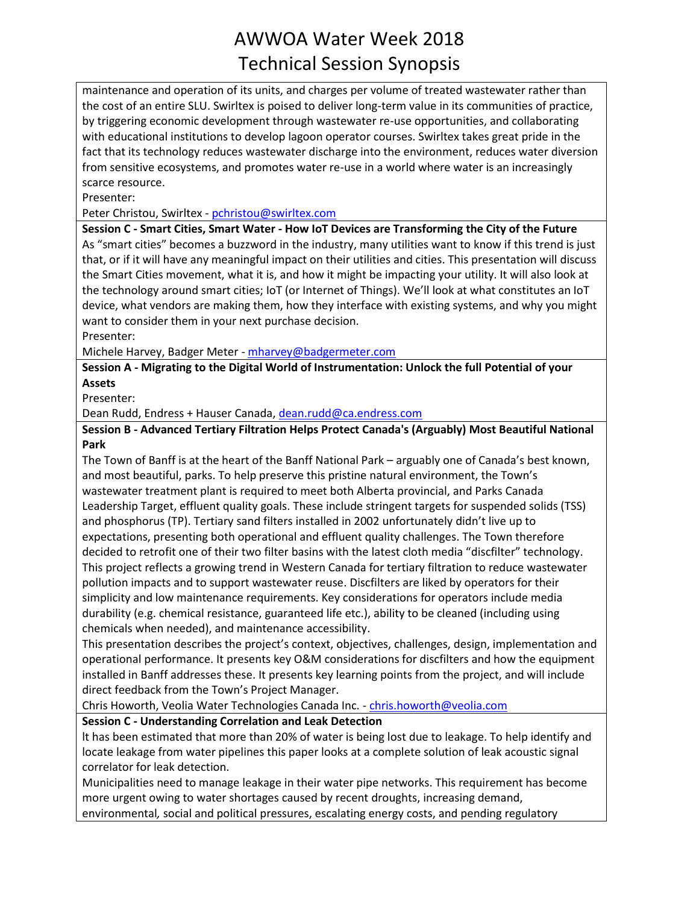maintenance and operation of its units, and charges per volume of treated wastewater rather than the cost of an entire SLU. Swirltex is poised to deliver long-term value in its communities of practice, by triggering economic development through wastewater re-use opportunities, and collaborating with educational institutions to develop lagoon operator courses. Swirltex takes great pride in the fact that its technology reduces wastewater discharge into the environment, reduces water diversion from sensitive ecosystems, and promotes water re-use in a world where water is an increasingly scarce resource.

Presenter:

Peter Christou, Swirltex - [pchristou@swirltex.com](mailto:pchristou@swirltex.com)

**Session C - Smart Cities, Smart Water - How IoT Devices are Transforming the City of the Future** As "smart cities" becomes a buzzword in the industry, many utilities want to know if this trend is just that, or if it will have any meaningful impact on their utilities and cities. This presentation will discuss the Smart Cities movement, what it is, and how it might be impacting your utility. It will also look at the technology around smart cities; IoT (or Internet of Things). We'll look at what constitutes an IoT device, what vendors are making them, how they interface with existing systems, and why you might want to consider them in your next purchase decision.

Presenter:

Michele Harvey, Badger Meter - [mharvey@badgermeter.com](mailto:mharvey@badgermeter.com)

**Session A - Migrating to the Digital World of Instrumentation: Unlock the full Potential of your Assets**

Presenter:

Dean Rudd, Endress + Hauser Canada, [dean.rudd@ca.endress.com](mailto:dean.rudd@ca.endress.com)

**Session B - Advanced Tertiary Filtration Helps Protect Canada's (Arguably) Most Beautiful National Park**

The Town of Banff is at the heart of the Banff National Park – arguably one of Canada's best known, and most beautiful, parks. To help preserve this pristine natural environment, the Town's wastewater treatment plant is required to meet both Alberta provincial, and Parks Canada Leadership Target, effluent quality goals. These include stringent targets for suspended solids (TSS) and phosphorus (TP). Tertiary sand filters installed in 2002 unfortunately didn't live up to expectations, presenting both operational and effluent quality challenges. The Town therefore decided to retrofit one of their two filter basins with the latest cloth media "discfilter" technology. This project reflects a growing trend in Western Canada for tertiary filtration to reduce wastewater pollution impacts and to support wastewater reuse. Discfilters are liked by operators for their simplicity and low maintenance requirements. Key considerations for operators include media durability (e.g. chemical resistance, guaranteed life etc.), ability to be cleaned (including using chemicals when needed), and maintenance accessibility.

This presentation describes the project's context, objectives, challenges, design, implementation and operational performance. It presents key O&M considerations for discfilters and how the equipment installed in Banff addresses these. It presents key learning points from the project, and will include direct feedback from the Town's Project Manager.

Chris Howorth, Veolia Water Technologies Canada Inc. - [chris.howorth@veolia.com](mailto:chris.howorth@veolia.com)

**Session C - Understanding Correlation and Leak Detection**

lt has been estimated that more than 20% of water is being lost due to leakage. To help identify and locate leakage from water pipelines this paper looks at a complete solution of leak acoustic signal correlator for leak detection.

Municipalities need to manage leakage in their water pipe networks. This requirement has become more urgent owing to water shortages caused by recent droughts, increasing demand,

environmental*,* social and political pressures, escalating energy costs, and pending regulatory